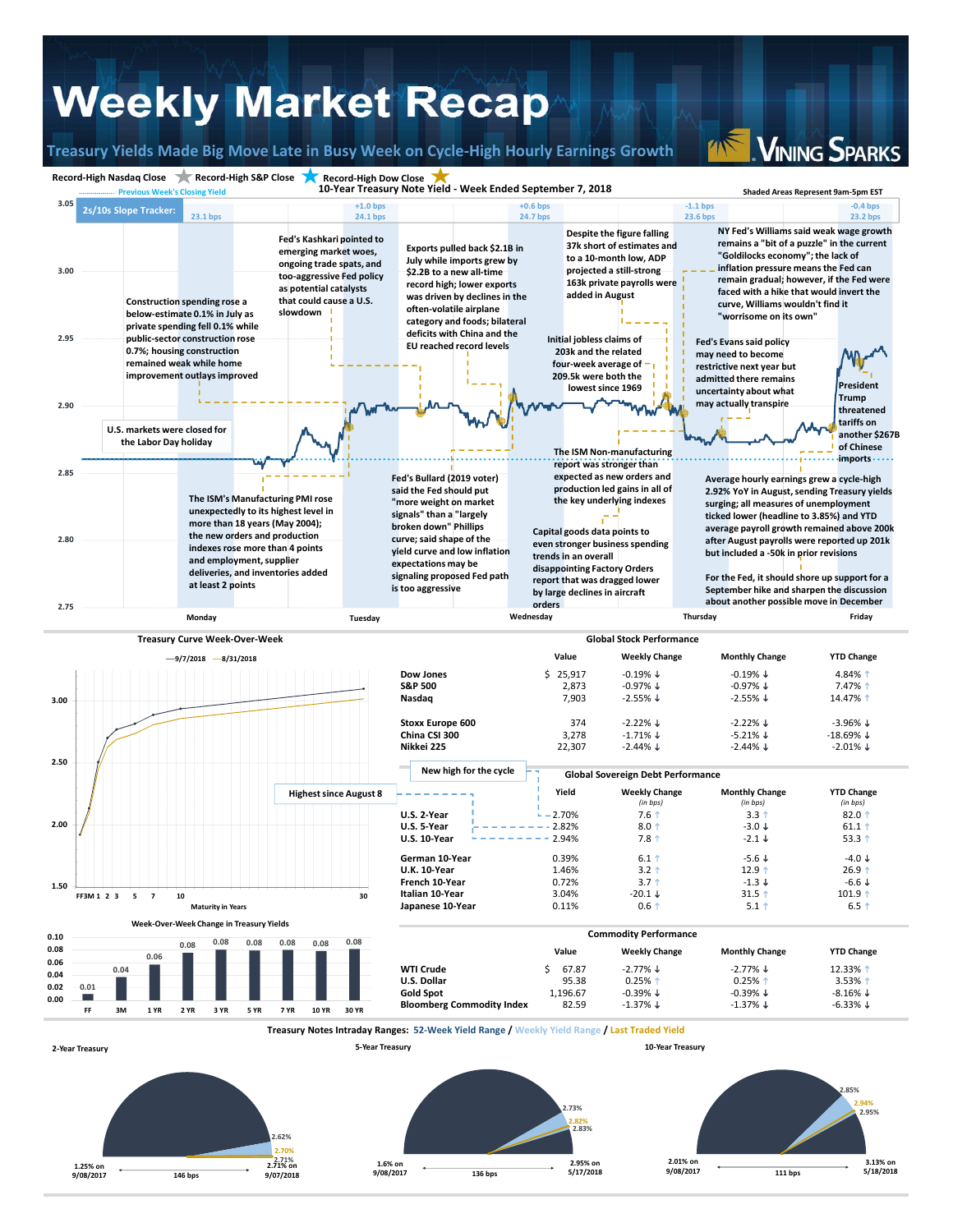## **Weekly Market Recap**

**Treasury Yields Made Big Move Late in Busy Week on Cycle‐High Hourly Earnings Growth**

**VINING SPARKS**